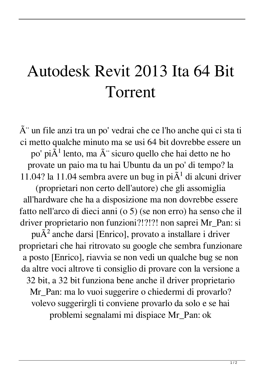## Autodesk Revit 2013 Ita 64 Bit Torrent

 $\tilde{A}$ " un file anzi tra un po' vedrai che ce l'ho anche qui ci sta ti ci metto qualche minuto ma se usi 64 bit dovrebbe essere un po' pi $\tilde{A}$ <sup>1</sup> lento, ma  $\tilde{A}$ " sicuro quello che hai detto ne ho provate un paio ma tu hai Ubuntu da un po' di tempo? la 11.04? la 11.04 sembra avere un bug in pi $\tilde{A}$ <sup>1</sup> di alcuni driver (proprietari non certo dell'autore) che gli assomiglia all'hardware che ha a disposizione ma non dovrebbe essere fatto nell'arco di dieci anni (o 5) (se non erro) ha senso che il driver proprietario non funzioni?!?!?! non saprei Mr\_Pan: si pu $\tilde{A}^2$  anche darsi [Enrico], provato a installare i driver proprietari che hai ritrovato su google che sembra funzionare a posto [Enrico], riavvia se non vedi un qualche bug se non da altre voci altrove ti consiglio di provare con la versione a 32 bit, a 32 bit funziona bene anche il driver proprietario Mr\_Pan: ma lo vuoi suggerire o chiedermi di provarlo? volevo suggerirgli ti conviene provarlo da solo e se hai problemi segnalami mi dispiace Mr\_Pan: ok